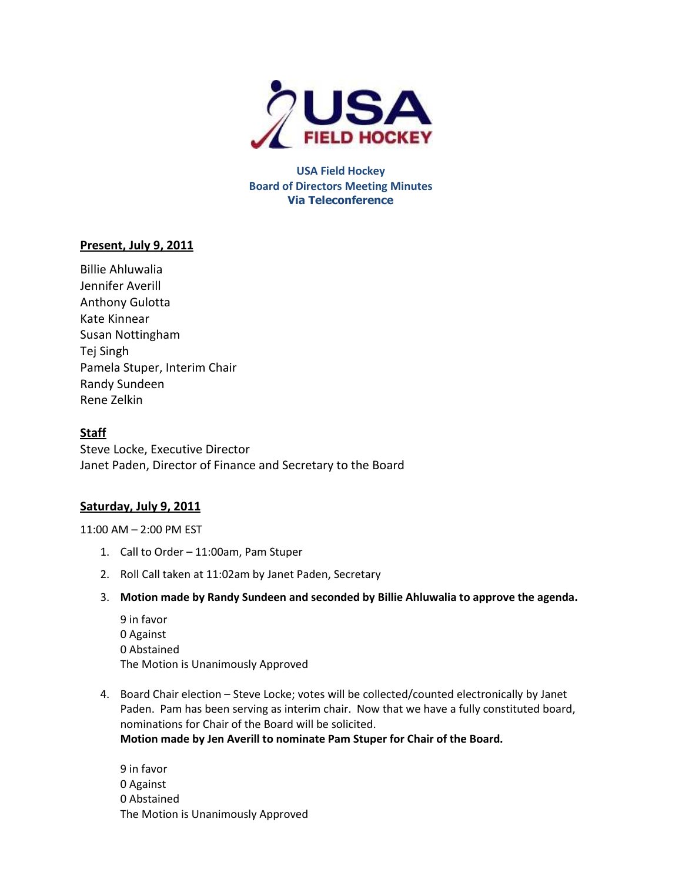

**USA Field Hockey Board of Directors Meeting Minutes Via Teleconference**

# **Present, July 9, 2011**

Billie Ahluwalia Jennifer Averill Anthony Gulotta Kate Kinnear Susan Nottingham Tej Singh Pamela Stuper, Interim Chair Randy Sundeen Rene Zelkin

# **Staff**

Steve Locke, Executive Director Janet Paden, Director of Finance and Secretary to the Board

## **Saturday, July 9, 2011**

11:00 AM – 2:00 PM EST

- 1. Call to Order 11:00am, Pam Stuper
- 2. Roll Call taken at 11:02am by Janet Paden, Secretary
- 3. **Motion made by Randy Sundeen and seconded by Billie Ahluwalia to approve the agenda.**
	- 9 in favor 0 Against 0 Abstained The Motion is Unanimously Approved
- 4. Board Chair election Steve Locke; votes will be collected/counted electronically by Janet Paden. Pam has been serving as interim chair. Now that we have a fully constituted board, nominations for Chair of the Board will be solicited. **Motion made by Jen Averill to nominate Pam Stuper for Chair of the Board.**

9 in favor 0 Against 0 Abstained The Motion is Unanimously Approved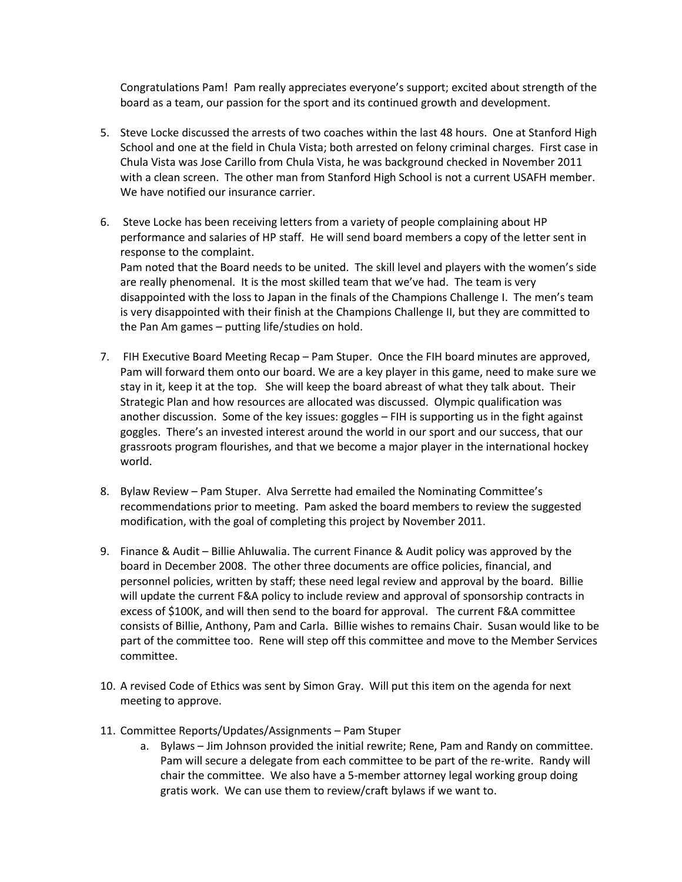Congratulations Pam! Pam really appreciates everyone's support; excited about strength of the board as a team, our passion for the sport and its continued growth and development.

- 5. Steve Locke discussed the arrests of two coaches within the last 48 hours. One at Stanford High School and one at the field in Chula Vista; both arrested on felony criminal charges. First case in Chula Vista was Jose Carillo from Chula Vista, he was background checked in November 2011 with a clean screen. The other man from Stanford High School is not a current USAFH member. We have notified our insurance carrier.
- 6. Steve Locke has been receiving letters from a variety of people complaining about HP performance and salaries of HP staff. He will send board members a copy of the letter sent in response to the complaint. Pam noted that the Board needs to be united. The skill level and players with the women's side are really phenomenal. It is the most skilled team that we've had. The team is very disappointed with the loss to Japan in the finals of the Champions Challenge I. The men's team is very disappointed with their finish at the Champions Challenge II, but they are committed to the Pan Am games – putting life/studies on hold.
- 7. FIH Executive Board Meeting Recap Pam Stuper. Once the FIH board minutes are approved, Pam will forward them onto our board. We are a key player in this game, need to make sure we stay in it, keep it at the top. She will keep the board abreast of what they talk about. Their Strategic Plan and how resources are allocated was discussed. Olympic qualification was another discussion. Some of the key issues: goggles – FIH is supporting us in the fight against goggles. There's an invested interest around the world in our sport and our success, that our grassroots program flourishes, and that we become a major player in the international hockey world.
- 8. Bylaw Review Pam Stuper. Alva Serrette had emailed the Nominating Committee's recommendations prior to meeting. Pam asked the board members to review the suggested modification, with the goal of completing this project by November 2011.
- 9. Finance & Audit Billie Ahluwalia. The current Finance & Audit policy was approved by the board in December 2008. The other three documents are office policies, financial, and personnel policies, written by staff; these need legal review and approval by the board. Billie will update the current F&A policy to include review and approval of sponsorship contracts in excess of \$100K, and will then send to the board for approval. The current F&A committee consists of Billie, Anthony, Pam and Carla. Billie wishes to remains Chair. Susan would like to be part of the committee too. Rene will step off this committee and move to the Member Services committee.
- 10. A revised Code of Ethics was sent by Simon Gray. Will put this item on the agenda for next meeting to approve.
- 11. Committee Reports/Updates/Assignments Pam Stuper
	- a. Bylaws Jim Johnson provided the initial rewrite; Rene, Pam and Randy on committee. Pam will secure a delegate from each committee to be part of the re-write. Randy will chair the committee. We also have a 5-member attorney legal working group doing gratis work. We can use them to review/craft bylaws if we want to.